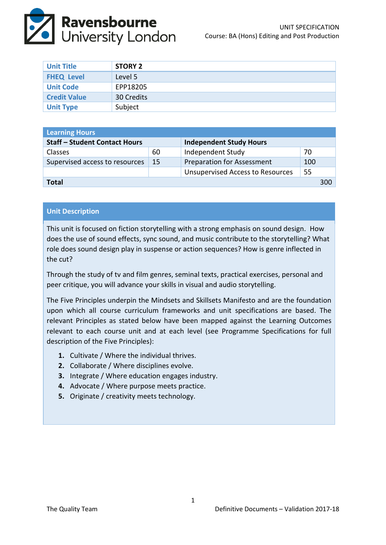

| <b>Unit Title</b>   | <b>STORY 2</b> |
|---------------------|----------------|
| <b>FHEQ Level</b>   | Level 5        |
| <b>Unit Code</b>    | EPP18205       |
| <b>Credit Value</b> | 30 Credits     |
| <b>Unit Type</b>    | Subject        |

| <b>Learning Hours</b>                |     |                                         |     |     |  |
|--------------------------------------|-----|-----------------------------------------|-----|-----|--|
| <b>Staff - Student Contact Hours</b> |     | <b>Independent Study Hours</b>          |     |     |  |
| <b>Classes</b>                       | 60  | Independent Study                       | 70  |     |  |
| Supervised access to resources       | -15 | <b>Preparation for Assessment</b>       | 100 |     |  |
|                                      |     | <b>Unsupervised Access to Resources</b> | 55  |     |  |
| <b>Total</b>                         |     |                                         |     | 300 |  |

## **Unit Description**

This unit is focused on fiction storytelling with a strong emphasis on sound design. How does the use of sound effects, sync sound, and music contribute to the storytelling? What role does sound design play in suspense or action sequences? How is genre inflected in the cut?

Through the study of tv and film genres, seminal texts, practical exercises, personal and peer critique, you will advance your skills in visual and audio storytelling.

The Five Principles underpin the Mindsets and Skillsets Manifesto and are the foundation upon which all course curriculum frameworks and unit specifications are based. The relevant Principles as stated below have been mapped against the Learning Outcomes relevant to each course unit and at each level (see Programme Specifications for full description of the Five Principles):

- **1.** Cultivate / Where the individual thrives.
- **2.** Collaborate / Where disciplines evolve.
- **3.** Integrate / Where education engages industry.
- **4.** Advocate / Where purpose meets practice.
- **5.** Originate / creativity meets technology.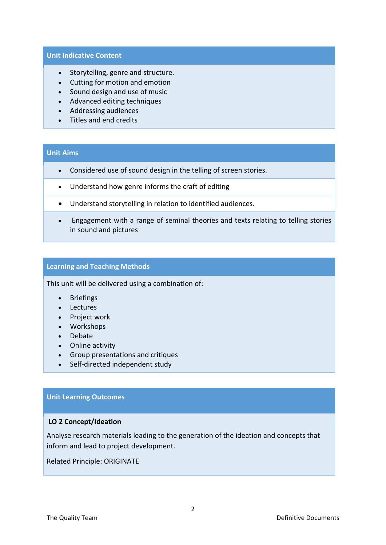### **Unit Indicative Content**

- Storytelling, genre and structure.
- Cutting for motion and emotion
- Sound design and use of music
- Advanced editing techniques
- Addressing audiences
- Titles and end credits

# **Unit Aims**

- Considered use of sound design in the telling of screen stories.
- Understand how genre informs the craft of editing
- Understand storytelling in relation to identified audiences.
- Engagement with a range of seminal theories and texts relating to telling stories in sound and pictures

### **Learning and Teaching Methods**

This unit will be delivered using a combination of:

- Briefings
- Lectures
- Project work
- Workshops
- Debate
- Online activity
- Group presentations and critiques
- Self-directed independent study

### **Unit Learning Outcomes**

### **LO 2 Concept/Ideation**

Analyse research materials leading to the generation of the ideation and concepts that inform and lead to project development.

Related Principle: ORIGINATE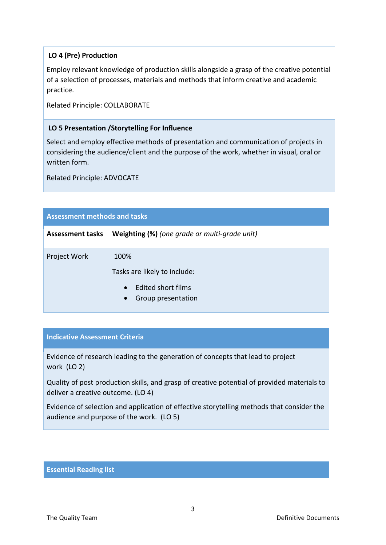# **LO 4 (Pre) Production**

Employ relevant knowledge of production skills alongside a grasp of the creative potential of a selection of processes, materials and methods that inform creative and academic practice.

Related Principle: COLLABORATE

## **LO 5 Presentation /Storytelling For Influence**

Select and employ effective methods of presentation and communication of projects in considering the audience/client and the purpose of the work, whether in visual, oral or written form.

Related Principle: ADVOCATE

| <b>Assessment methods and tasks</b> |                                                                                                                   |  |  |
|-------------------------------------|-------------------------------------------------------------------------------------------------------------------|--|--|
| <b>Assessment tasks</b>             | Weighting (%) (one grade or multi-grade unit)                                                                     |  |  |
| Project Work                        | 100%<br>Tasks are likely to include:<br><b>Edited short films</b><br>$\bullet$<br>Group presentation<br>$\bullet$ |  |  |

# **Indicative Assessment Criteria**

Evidence of research leading to the generation of concepts that lead to project work (LO 2)

Quality of post production skills, and grasp of creative potential of provided materials to deliver a creative outcome. (LO 4)

Evidence of selection and application of effective storytelling methods that consider the audience and purpose of the work. (LO 5)

### **Essential Reading list**